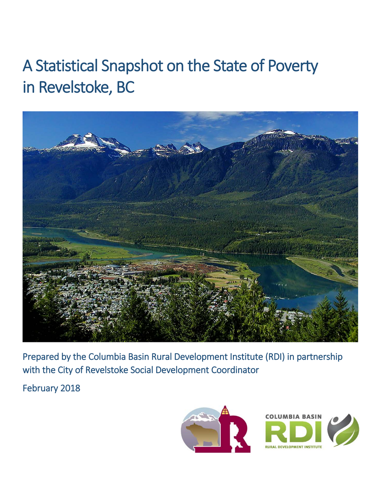# A Statistical Snapshot on the State of Poverty in Revelstoke, BC



Prepared by the Columbia Basin Rural Development Institute (RDI) in partnership with the City of Revelstoke Social Development Coordinator

February 2018

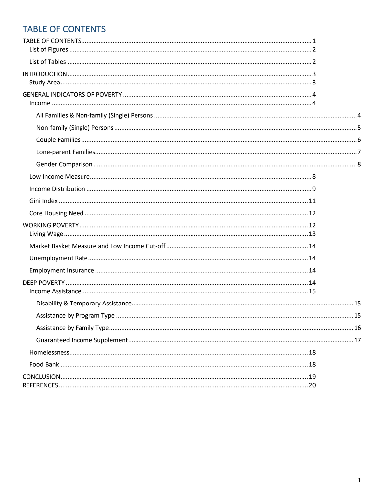# <span id="page-1-0"></span>TABLE OF CONTENTS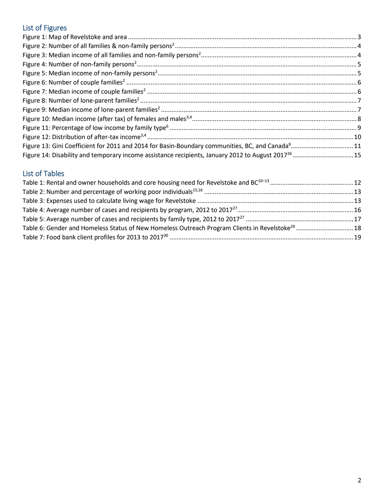# <span id="page-2-0"></span>List of Figures

| Figure 13: Gini Coefficient for 2011 and 2014 for Basin-Boundary communities, BC, and Canada <sup>9</sup> 11 |
|--------------------------------------------------------------------------------------------------------------|
|                                                                                                              |
|                                                                                                              |

## <span id="page-2-1"></span>List of Tables

| Table 6: Gender and Homeless Status of New Homeless Outreach Program Clients in Revelstoke <sup>29</sup> 18 |  |
|-------------------------------------------------------------------------------------------------------------|--|
|                                                                                                             |  |
|                                                                                                             |  |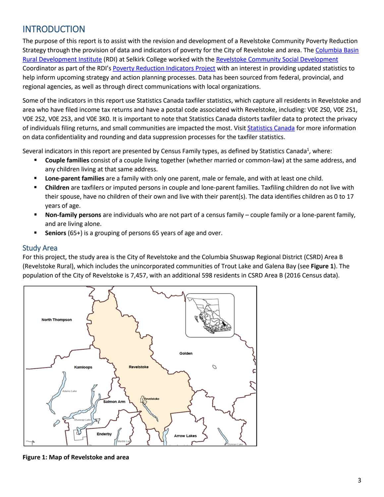# <span id="page-3-0"></span>**INTRODUCTION**

The purpose of this report is to assist with the revision and development of a Revelstoke Community Poverty Reduction Strategy through the provision of data and indicators of poverty for the City of Revelstoke and area. The Columbia Basin [Rural Development Institute](http://www.cbrdi.ca/) (RDI) at Selkirk College worked with the [Revelstoke Community Social Development](https://www.revelstokesocialdevelopment.org/) Coordinator as part of the RDI's [Poverty Reduction Indicators Project](http://www.cbrdi.ca/poverty-reduction/) with an interest in providing updated statistics to help inform upcoming strategy and action planning processes. Data has been sourced from federal, provincial, and regional agencies, as well as through direct communications with local organizations.

Some of the indicators in this report use Statistics Canada taxfiler statistics, which capture all residents in Revelstoke and area who have filed income tax returns and have a postal code associated with Revelstoke, including: V0E 2S0, V0E 2S1, V0E 2S2, V0E 2S3, and V0E 3K0. It is important to note that Statistics Canada distorts taxfiler data to protect the privacy of individuals filing returns, and small communities are impacted the most. Visi[t Statistics Canada](http://www23.statcan.gc.ca/imdb-bmdi/document/4105_D5_T1_V10-eng.htm#a1) for more information on data confidentiality and rounding and data suppression processes for the taxfiler statistics.

Several indicators in this report are presented by Census Family types, as defined by Statistics Canada<sup>1</sup>, where:

- **Couple families** consist of a couple living together (whether married or common-law) at the same address, and any children living at that same address.
- **Lone-parent families** are a family with only one parent, male or female, and with at least one child.
- **Children** are taxfilers or imputed persons in couple and lone-parent families. Taxfiling children do not live with their spouse, have no children of their own and live with their parent(s). The data identifies children as 0 to 17 years of age.
- **Non-family persons** are individuals who are not part of a census family couple family or a lone-parent family, and are living alone.
- <span id="page-3-3"></span>**Seniors** (65+) is a grouping of persons 65 years of age and over.

#### <span id="page-3-1"></span>Study Area

For this project, the study area is the City of Revelstoke and the Columbia Shuswap Regional District (CSRD) Area B (Revelstoke Rural), which includes the unincorporated communities of Trout Lake and Galena Bay (see **[Figure 1](#page-3-3)**). The population of the City of Revelstoke is 7,457, with an additional 598 residents in CSRD Area B (2016 Census data).



<span id="page-3-2"></span>**Figure 1: Map of Revelstoke and area**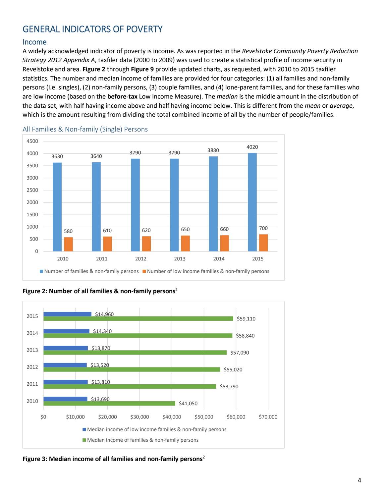# <span id="page-4-0"></span>GENERAL INDICATORS OF POVERTY

#### <span id="page-4-1"></span>Income

A widely acknowledged indicator of poverty is income. As was reported in the *Revelstoke Community Poverty Reduction Strategy 2012 Appendix A*, taxfiler data (2000 to 2009) was used to create a statistical profile of income security in Revelstoke and area. **[Figure 2](#page-4-3)** through **[Figure 9](#page-7-2)** provide updated charts, as requested, with 2010 to 2015 taxfiler statistics. The number and median income of families are provided for four categories: (1) all families and non-family persons (i.e. singles), (2) non-family persons, (3) couple families, and (4) lone-parent families, and for these families who are low income (based on the **before-tax** Low Income Measure). The *median* is the middle amount in the distribution of the data set, with half having income above and half having income below. This is different from the *mean* or *average*, which is the amount resulting from dividing the total combined income of all by the number of people/families.



<span id="page-4-2"></span>All Families & Non-family (Single) Persons

<span id="page-4-3"></span>



<span id="page-4-4"></span>**Figure 3: Median income of all families and non-family persons**<sup>2</sup>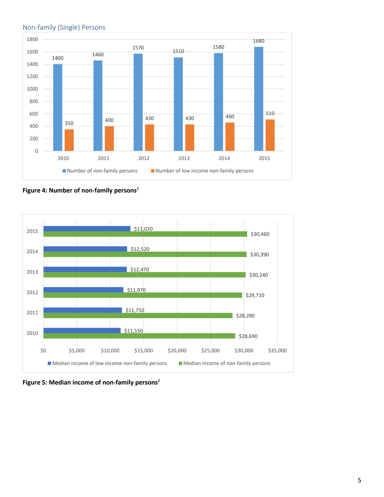

#### <span id="page-5-0"></span>Non-family (Single) Persons

<span id="page-5-1"></span>**Figure 4: Number of non-family persons**<sup>2</sup>



<span id="page-5-2"></span>**Figure 5: Median income of non-family persons**<sup>2</sup>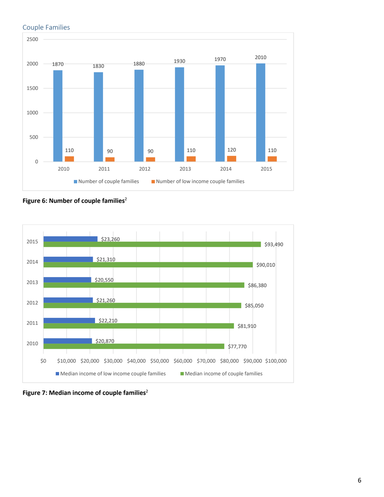#### <span id="page-6-0"></span>Couple Families



<span id="page-6-1"></span>**Figure 6: Number of couple families**<sup>2</sup>



<span id="page-6-2"></span>**Figure 7: Median income of couple families**<sup>2</sup>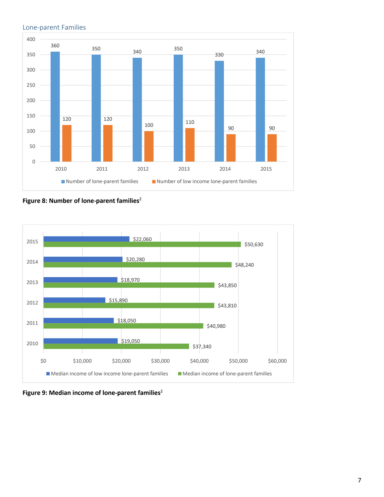

#### <span id="page-7-0"></span>Lone-parent Families

<span id="page-7-1"></span>**Figure 8: Number of lone-parent families**<sup>2</sup>



<span id="page-7-2"></span>**Figure 9: Median income of lone-parent families**<sup>2</sup>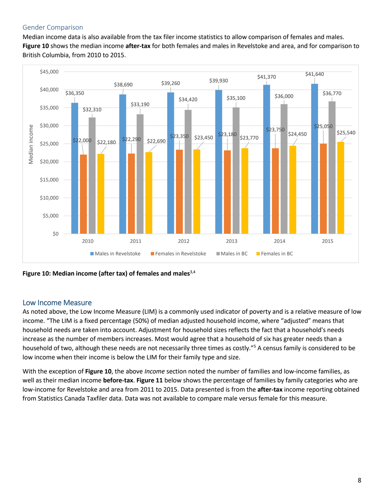#### <span id="page-8-0"></span>Gender Comparison

Median income data is also available from the tax filer income statistics to allow comparison of females and males. **[Figure 10](#page-8-2)** shows the median income **after-tax** for both females and males in Revelstoke and area, and for comparison to British Columbia, from 2010 to 2015.



<span id="page-8-2"></span>**Figure 10: Median income (after tax) of females and males**3,4

#### <span id="page-8-1"></span>Low Income Measure

As noted above, the Low Income Measure (LIM) is a commonly used indicator of poverty and is a relative measure of low income. "The LIM is a fixed percentage (50%) of median adjusted household income, where "adjusted" means that household needs are taken into account. Adjustment for household sizes reflects the fact that a household's needs increase as the number of members increases. Most would agree that a household of six has greater needs than a household of two, although these needs are not necessarily three times as costly."5 A census family is considered to be low income when their income is below the LIM for their family type and size.

With the exception of **[Figure 10](#page-8-2)**, the above *[Income](#page-4-1)* section noted the number of families and low-income families, as well as their median income **before-tax**. **[Figure 11](#page-9-1)** below shows the percentage of families by family categories who are low-income for Revelstoke and area from 2011 to 2015. Data presented is from the **after-tax** income reporting obtained from Statistics Canada Taxfiler data. Data was not available to compare male versus female for this measure.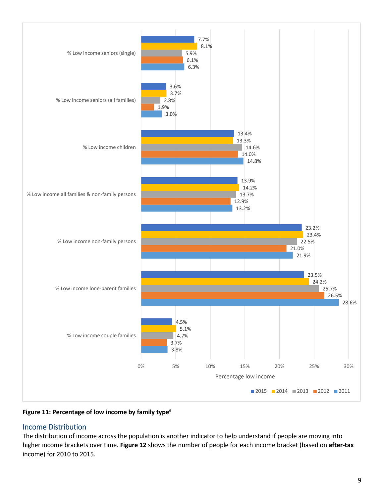

<span id="page-9-1"></span>**Figure 11: Percentage of low income by family type**<sup>6</sup>

## <span id="page-9-0"></span>Income Distribution

The distribution of income across the population is another indicator to help understand if people are moving into higher income brackets over time. **[Figure 12](#page-10-0)** shows the number of people for each income bracket (based on **after-tax** income) for 2010 to 2015.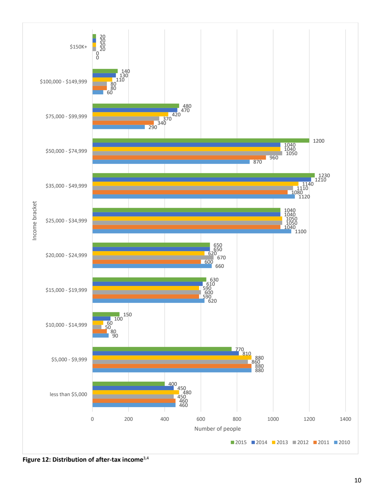<span id="page-10-0"></span>

**Figure 12: Distribution of after-tax income**3,4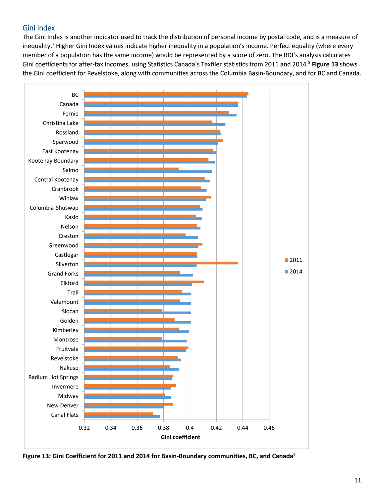## <span id="page-11-0"></span>Gini Index

The Gini Index is another indicator used to track the distribution of personal income by postal code, and is a measure of inequality.<sup>7</sup> Higher Gini Index values indicate higher inequality in a population's income. Perfect equality (where every member of a population has the same income) would be represented by a score of zero. The RDI's analysis calculates Gini coefficients for after-tax incomes, using Statistics Canada's Taxfiler statistics from 2011 and 2014. <sup>8</sup> **[Figure 13](#page-11-1)** shows the Gini coefficient for Revelstoke, along with communities across the Columbia Basin-Boundary, and for BC and Canada.



<span id="page-11-1"></span>**Figure 13: Gini Coefficient for 2011 and 2014 for Basin-Boundary communities, BC, and Canada**<sup>9</sup>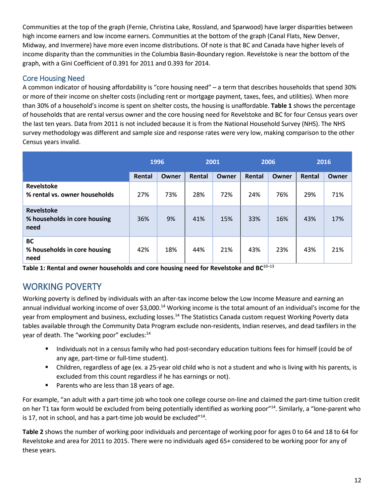Communities at the top of the graph (Fernie, Christina Lake, Rossland, and Sparwood) have larger disparities between high income earners and low income earners. Communities at the bottom of the graph (Canal Flats, New Denver, Midway, and Invermere) have more even income distributions. Of note is that BC and Canada have higher levels of income disparity than the communities in the Columbia Basin-Boundary region. Revelstoke is near the bottom of the graph, with a Gini Coefficient of 0.391 for 2011 and 0.393 for 2014.

## <span id="page-12-0"></span>Core Housing Need

A common indicator of housing affordability is "core housing need" – a term that describes households that spend 30% or more of their income on shelter costs (including rent or mortgage payment, taxes, fees, and utilities). When more than 30% of a household's income is spent on shelter costs, the housing is unaffordable. **[Table 1](#page-12-2)** shows the percentage of households that are rental versus owner and the core housing need for Revelstoke and BC for four Census years over the last ten years. Data from 2011 is not included because it is from the National Household Survey (NHS). The NHS survey methodology was different and sample size and response rates were very low, making comparison to the other Census years invalid.

|                                                           | 1996   |       | 2001   |       | 2006   |       | 2016   |       |
|-----------------------------------------------------------|--------|-------|--------|-------|--------|-------|--------|-------|
|                                                           | Rental | Owner | Rental | Owner | Rental | Owner | Rental | Owner |
| <b>Revelstoke</b><br>% rental vs. owner households        | 27%    | 73%   | 28%    | 72%   | 24%    | 76%   | 29%    | 71%   |
| <b>Revelstoke</b><br>% households in core housing<br>need | 36%    | 9%    | 41%    | 15%   | 33%    | 16%   | 43%    | 17%   |
| BC<br>% households in core housing<br>need                | 42%    | 18%   | 44%    | 21%   | 43%    | 23%   | 43%    | 21%   |

<span id="page-12-2"></span>Table 1: Rental and owner households and core housing need for Revelstoke and BC<sup>10-13</sup>

# <span id="page-12-1"></span>WORKING POVERTY

Working poverty is defined by individuals with an after-tax income below the Low Income Measure and earning an annual individual working income of over \$3,000.<sup>14</sup> Working income is the total amount of an individual's income for the year from employment and business, excluding losses.<sup>14</sup> The Statistics Canada custom request Working Poverty data tables available through the Community Data Program exclude non-residents, Indian reserves, and dead taxfilers in the year of death. The "working poor" excludes:<sup>14</sup>

- Individuals not in a census family who had post-secondary education tuitions fees for himself (could be of any age, part-time or full-time student).
- Children, regardless of age (ex. a 25-year old child who is not a student and who is living with his parents, is excluded from this count regardless if he has earnings or not).
- Parents who are less than 18 years of age.

For example, "an adult with a part-time job who took one college course on-line and claimed the part-time tuition credit on her T1 tax form would be excluded from being potentially identified as working poor"14. Similarly, a "lone-parent who is 17, not in school, and has a part-time job would be excluded $^{\prime\prime}14$ .

**[Table 2](#page-13-1)** shows the number of working poor individuals and percentage of working poor for ages 0 to 64 and 18 to 64 for Revelstoke and area for 2011 to 2015. There were no individuals aged 65+ considered to be working poor for any of these years.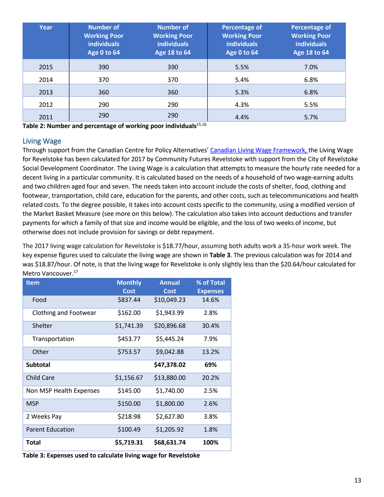| Year | <b>Number of</b><br><b>Working Poor</b><br><b>individuals</b><br><b>Age 0 to 64</b> | <b>Number of</b><br><b>Working Poor</b><br><b>individuals</b><br>Age 18 to 64 | <b>Percentage of</b><br><b>Working Poor</b><br><b>individuals</b><br><b>Age 0 to 64</b> | Percentage of<br><b>Working Poor</b><br><b>individuals</b><br>Age 18 to 64 |
|------|-------------------------------------------------------------------------------------|-------------------------------------------------------------------------------|-----------------------------------------------------------------------------------------|----------------------------------------------------------------------------|
| 2015 | 390                                                                                 | 390                                                                           | 5.5%                                                                                    | 7.0%                                                                       |
| 2014 | 370                                                                                 | 370                                                                           | 5.4%                                                                                    | 6.8%                                                                       |
| 2013 | 360                                                                                 | 360                                                                           | 5.3%                                                                                    | 6.8%                                                                       |
| 2012 | 290                                                                                 | 290                                                                           | 4.3%                                                                                    | 5.5%                                                                       |
| 2011 | 290                                                                                 | 290                                                                           | 4.4%                                                                                    | 5.7%                                                                       |

<span id="page-13-1"></span>**Table 2: Number and percentage of working poor individuals**15,16

#### <span id="page-13-0"></span>Living Wage

Through support from the Canadian Centre for Policy Alternatives' [Canadian Living Wage Framework,](http://www.livingwagecanada.ca/files/7813/8243/8036/living_wage_full_document.pdf) the Living Wage for Revelstoke has been calculated for 2017 by Community Futures Revelstoke with support from the City of Revelstoke Social Development Coordinator. The Living Wage is a calculation that attempts to measure the hourly rate needed for a decent living in a particular community. It is calculated based on the needs of a household of two wage-earning adults and two children aged four and seven. The needs taken into account include the costs of shelter, food, clothing and footwear, transportation, child care, education for the parents, and other costs, such as telecommunications and health related costs. To the degree possible, it takes into account costs specific to the community, using a modified version of the Market Basket Measure (see more on this below). The calculation also takes into account deductions and transfer payments for which a family of that size and income would be eligible, and the loss of two weeks of income, but otherwise does not include provision for savings or debt repayment.

The 2017 living wage calculation for Revelstoke is \$18.77/hour, assuming both adults work a 35-hour work week. The key expense figures used to calculate the living wage are shown in **[Table 3](#page-13-2)**. The previous calculation was for 2014 and was \$18.87/hour. Of note, is that the living wage for Revelstoke is only slightly less than the \$20.64/hour calculated for Metro Vancouver.<sup>17</sup>

| <b>Item</b>             | <b>Monthly</b> | <b>Annual</b> | % of Total      |
|-------------------------|----------------|---------------|-----------------|
|                         | <b>Cost</b>    | <b>Cost</b>   | <b>Expenses</b> |
| Food                    | \$837.44       | \$10,049.23   | 14.6%           |
| Clothing and Footwear   | \$162.00       | \$1,943.99    | 2.8%            |
| Shelter                 | \$1,741.39     | \$20,896.68   | 30.4%           |
| Transportation          | \$453.77       | \$5,445.24    | 7.9%            |
| Other                   | \$753.57       | \$9,042.88    | 13.2%           |
| <b>Subtotal</b>         |                | \$47,378.02   | 69%             |
| <b>Child Care</b>       | \$1,156.67     | \$13,880.00   | 20.2%           |
| Non MSP Health Expenses | \$145.00       | \$1,740.00    | 2.5%            |
| <b>MSP</b>              | \$150.00       | \$1,800.00    | 2.6%            |
| 2 Weeks Pay             | \$218.98       | \$2,627.80    | 3.8%            |
| <b>Parent Education</b> | \$100.49       | \$1,205.92    | 1.8%            |
| Total                   | \$5,719.31     | \$68,631.74   | 100%            |

<span id="page-13-2"></span>**Table 3: Expenses used to calculate living wage for Revelstoke**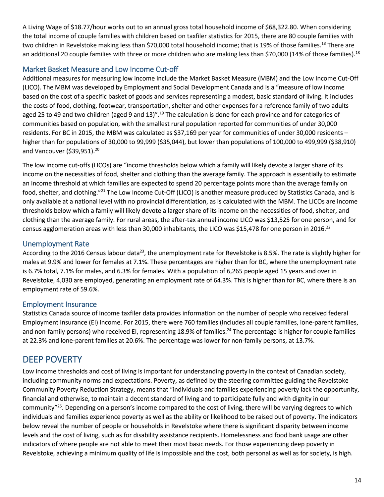A Living Wage of \$18.77/hour works out to an annual gross total household income of \$68,322.80. When considering the total income of couple families with children based on taxfiler statistics for 2015, there are 80 couple families with two children in Revelstoke making less than \$70,000 total household income; that is 19% of those families.<sup>18</sup> There are an additional 20 couple families with three or more children who are making less than \$70,000 (14% of those families).<sup>18</sup>

## <span id="page-14-0"></span>Market Basket Measure and Low Income Cut-off

Additional measures for measuring low income include the Market Basket Measure (MBM) and the Low Income Cut-Off (LICO). The MBM was developed by Employment and Social Development Canada and is a "measure of low income based on the cost of a specific basket of goods and services representing a modest, basic standard of living. It includes the costs of food, clothing, footwear, transportation, shelter and other expenses for a reference family of two adults aged 25 to 49 and two children (aged 9 and 13)".<sup>19</sup> The calculation is done for each province and for categories of communities based on population, with the smallest rural population reported for communities of under 30,000 residents. For BC in 2015, the MBM was calculated as \$37,169 per year for communities of under 30,000 residents – higher than for populations of 30,000 to 99,999 (\$35,044), but lower than populations of 100,000 to 499,999 (\$38,910) and Vancouver (\$39,951).<sup>20</sup>

The low income cut-offs (LICOs) are "income thresholds below which a family will likely devote a larger share of its income on the necessities of food, shelter and clothing than the average family. The approach is essentially to estimate an income threshold at which families are expected to spend 20 percentage points more than the average family on food, shelter, and clothing."21 The Low Income Cut-Off (LICO) is another measure produced by Statistics Canada, and is only available at a national level with no provincial differentiation, as is calculated with the MBM. The LICOs are income thresholds below which a family will likely devote a larger share of its income on the necessities of food, shelter, and clothing than the average family. For rural areas, the after-tax annual income LICO was \$13,525 for one person, and for census agglomeration areas with less than 30,000 inhabitants, the LICO was \$15,478 for one person in 2016.<sup>22</sup>

## <span id="page-14-1"></span>Unemployment Rate

According to the 2016 Census labour data<sup>23</sup>, the unemployment rate for Revelstoke is 8.5%. The rate is slightly higher for males at 9.9% and lower for females at 7.1%. These percentages are higher than for BC, where the unemployment rate is 6.7% total, 7.1% for males, and 6.3% for females. With a population of 6,265 people aged 15 years and over in Revelstoke, 4,030 are employed, generating an employment rate of 64.3%. This is higher than for BC, where there is an employment rate of 59.6%.

## <span id="page-14-2"></span>Employment Insurance

Statistics Canada source of income taxfiler data provides information on the number of people who received federal Employment Insurance (EI) income. For 2015, there were 760 families (includes all couple families, lone-parent families, and non-family persons) who received EI, representing 18.9% of families.<sup>24</sup> The percentage is higher for couple families at 22.3% and lone-parent families at 20.6%. The percentage was lower for non-family persons, at 13.7%.

## <span id="page-14-3"></span>DEEP POVERTY

Low income thresholds and cost of living is important for understanding poverty in the context of Canadian society, including community norms and expectations. Poverty, as defined by the steering committee guiding the Revelstoke Community Poverty Reduction Strategy, means that "individuals and families experiencing poverty lack the opportunity, financial and otherwise, to maintain a decent standard of living and to participate fully and with dignity in our community"25. Depending on a person's income compared to the cost of living, there will be varying degrees to which individuals and families experience poverty as well as the ability or likelihood to be raised out of poverty. The indicators below reveal the number of people or households in Revelstoke where there is significant disparity between income levels and the cost of living, such as for disability assistance recipients. Homelessness and food bank usage are other indicators of where people are not able to meet their most basic needs. For those experiencing deep poverty in Revelstoke, achieving a minimum quality of life is impossible and the cost, both personal as well as for society, is high.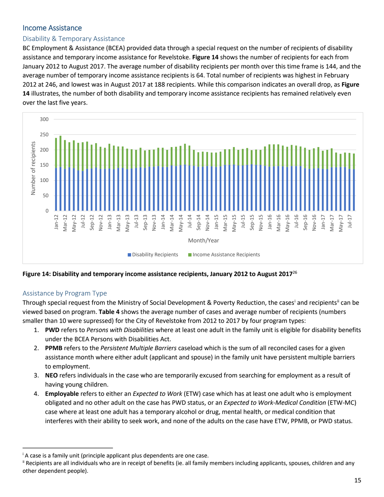## <span id="page-15-0"></span>Income Assistance

#### <span id="page-15-1"></span>Disability & Temporary Assistance

BC Employment & Assistance (BCEA) provided data through a special request on the number of recipients of disability assistance and temporary income assistance for Revelstoke. **[Figure 14](#page-15-3)** shows the number of recipients for each from January 2012 to August 2017. The average number of disability recipients per month over this time frame is 144, and the average number of temporary income assistance recipients is 64. Total number of recipients was highest in February 2012 at 246, and lowest was in August 2017 at 188 recipients. While this comparison indicates an overall drop, as **[Figure](#page-15-3)  [14](#page-15-3)** illustrates, the number of both disability and temporary income assistance recipients has remained relatively even over the last five years.



<span id="page-15-3"></span>**Figure 14: Disability and temporary income assistance recipients, January 2012 to August 2017**<sup>26</sup>

#### <span id="page-15-2"></span>Assistance by Program Type

Through special request from the Ministry of Social Development & Poverty Reduction, the cases<sup>i</sup> and recipients<sup>[ii](#page-15-5)</sup> can be viewed based on program. **[Table 4](#page-16-1)** shows the average number of cases and average number of recipients (numbers smaller than 10 were supressed) for the City of Revelstoke from 2012 to 2017 by four program types:

- 1. **PWD** refers to *Persons with Disabilities* where at least one adult in the family unit is eligible for disability benefits under the BCEA Persons with Disabilities Act.
- 2. **PPMB** refers to the *Persistent Multiple Barriers* caseload which is the sum of all reconciled cases for a given assistance month where either adult (applicant and spouse) in the family unit have persistent multiple barriers to employment.
- 3. **NEO** refers individuals in the case who are temporarily excused from searching for employment as a result of having young children.
- 4. **Employable** refers to either an *Expected to Work* (ETW) case which has at least one adult who is employment obligated and no other adult on the case has PWD status, or an *Expected to Work-Medical Condition* (ETW-MC) case where at least one adult has a temporary alcohol or drug, mental health, or medical condition that interferes with their ability to seek work, and none of the adults on the case have ETW, PPMB, or PWD status.

<span id="page-15-4"></span><sup>&</sup>lt;sup>i</sup> A case is a family unit (principle applicant plus dependents are one case.

<span id="page-15-5"></span>ii Recipients are all individuals who are in receipt of benefits (ie. all family members including applicants, spouses, children and any other dependent people).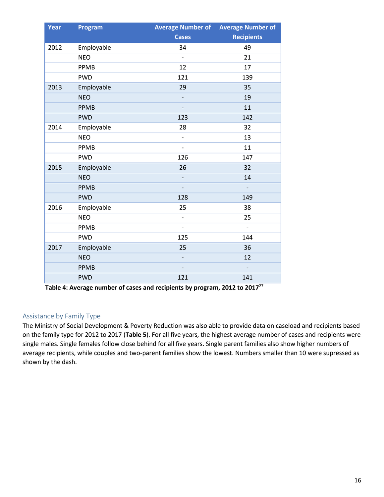| Year | Program     | <b>Average Number of</b>     | <b>Average Number of</b> |  |  |
|------|-------------|------------------------------|--------------------------|--|--|
|      |             | <b>Cases</b>                 | <b>Recipients</b>        |  |  |
| 2012 | Employable  | 34                           | 49                       |  |  |
|      | <b>NEO</b>  | $\qquad \qquad \blacksquare$ | 21                       |  |  |
|      | PPMB        | 12                           | 17                       |  |  |
|      | <b>PWD</b>  | 121                          | 139                      |  |  |
| 2013 | Employable  | 29                           | 35                       |  |  |
|      | <b>NEO</b>  | $\overline{\phantom{0}}$     | 19                       |  |  |
|      | <b>PPMB</b> |                              | 11                       |  |  |
|      | <b>PWD</b>  | 123                          | 142                      |  |  |
| 2014 | Employable  | 28                           | 32                       |  |  |
|      | <b>NEO</b>  | $\overline{a}$               | 13                       |  |  |
|      | PPMB        | $\overline{a}$               | 11                       |  |  |
|      | <b>PWD</b>  | 126                          | 147                      |  |  |
| 2015 | Employable  | 26                           | 32                       |  |  |
|      | <b>NEO</b>  | $\overline{a}$               | 14                       |  |  |
|      | <b>PPMB</b> | $\overline{\phantom{0}}$     | $\overline{\phantom{a}}$ |  |  |
|      | <b>PWD</b>  | 128                          | 149                      |  |  |
| 2016 | Employable  | 25                           | 38                       |  |  |
|      | <b>NEO</b>  | $\overline{a}$               | 25                       |  |  |
|      | PPMB        |                              |                          |  |  |
|      | <b>PWD</b>  | 125                          | 144                      |  |  |
| 2017 | Employable  | 25                           | 36                       |  |  |
|      | <b>NEO</b>  | $\overline{\phantom{0}}$     | 12                       |  |  |
|      | <b>PPMB</b> |                              | $\overline{\phantom{0}}$ |  |  |
|      | <b>PWD</b>  | 121                          | 141                      |  |  |

<span id="page-16-1"></span>**Table 4: Average number of cases and recipients by program, 2012 to 2017**<sup>27</sup>

#### <span id="page-16-0"></span>Assistance by Family Type

The Ministry of Social Development & Poverty Reduction was also able to provide data on caseload and recipients based on the family type for 2012 to 2017 (**[Table 5](#page-17-1)**). For all five years, the highest average number of cases and recipients were single males. Single females follow close behind for all five years. Single parent families also show higher numbers of average recipients, while couples and two-parent families show the lowest. Numbers smaller than 10 were supressed as shown by the dash.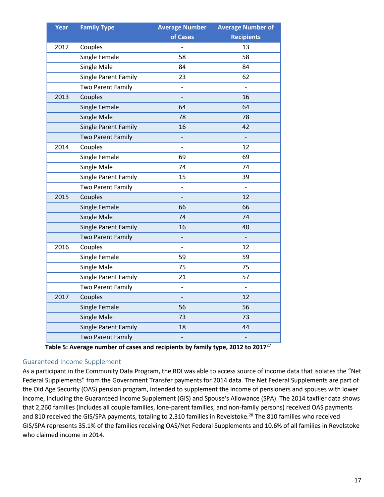| Year | <b>Family Type</b>       | <b>Average Number</b>    | <b>Average Number of</b> |
|------|--------------------------|--------------------------|--------------------------|
|      |                          | of Cases                 | <b>Recipients</b>        |
| 2012 | Couples                  |                          | 13                       |
|      | Single Female            | 58                       | 58                       |
|      | <b>Single Male</b>       | 84                       | 84                       |
|      | Single Parent Family     | 23                       | 62                       |
|      | <b>Two Parent Family</b> | $\qquad \qquad -$        |                          |
| 2013 | Couples                  | $\overline{a}$           | 16                       |
|      | Single Female            | 64                       | 64                       |
|      | <b>Single Male</b>       | 78                       | 78                       |
|      | Single Parent Family     | 16                       | 42                       |
|      | Two Parent Family        |                          |                          |
| 2014 | Couples                  | $\overline{\phantom{m}}$ | 12                       |
|      | Single Female            | 69                       | 69                       |
|      | <b>Single Male</b>       | 74                       | 74                       |
|      | Single Parent Family     | 15                       | 39                       |
|      | Two Parent Family        | $\qquad \qquad -$        | $\frac{1}{2}$            |
| 2015 | Couples                  |                          | 12                       |
|      | Single Female            | 66                       | 66                       |
|      | <b>Single Male</b>       | 74                       | 74                       |
|      | Single Parent Family     | 16                       | 40                       |
|      | <b>Two Parent Family</b> | $\overline{\phantom{a}}$ | ÷                        |
| 2016 | Couples                  | $\overline{a}$           | 12                       |
|      | Single Female            | 59                       | 59                       |
|      | Single Male              | 75                       | 75                       |
|      | Single Parent Family     | 21                       | 57                       |
|      | <b>Two Parent Family</b> | $\overline{a}$           |                          |
| 2017 | Couples                  | $\overline{\phantom{0}}$ | 12                       |
|      | Single Female            | 56                       | 56                       |
|      | <b>Single Male</b>       | 73                       | 73                       |
|      | Single Parent Family     | 18                       | 44                       |
|      | <b>Two Parent Family</b> | $\overline{\phantom{m}}$ | $\frac{1}{2}$            |

**Table 5: Average number of cases and recipients by family type, 2012 to 2017**<sup>27</sup>

#### <span id="page-17-1"></span><span id="page-17-0"></span>Guaranteed Income Supplement

As a participant in the Community Data Program, the RDI was able to access source of income data that isolates the "Net Federal Supplements" from the Government Transfer payments for 2014 data. The Net Federal Supplements are part of the Old Age Security (OAS) pension program, intended to supplement the income of pensioners and spouses with lower income, including the Guaranteed Income Supplement (GIS) and Spouse's Allowance (SPA). The 2014 taxfiler data shows that 2,260 families (includes all couple families, lone-parent families, and non-family persons) received OAS payments and 810 received the GIS/SPA payments, totaling to 2,310 families in Revelstoke.<sup>28</sup> The 810 families who received GIS/SPA represents 35.1% of the families receiving OAS/Net Federal Supplements and 10.6% of all families in Revelstoke who claimed income in 2014.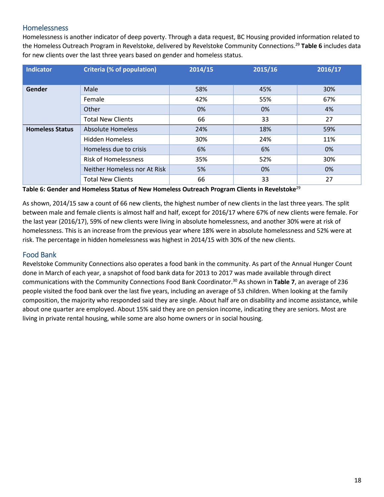#### <span id="page-18-0"></span>Homelessness

Homelessness is another indicator of deep poverty. Through a data request, BC Housing provided information related to the Homeless Outreach Program in Revelstoke, delivered by Revelstoke Community Connections.29 **[Table 6](#page-18-2)** includes data for new clients over the last three years based on gender and homeless status.

| <b>Indicator</b>       | <b>Criteria (% of population)</b> | 2014/15 | 2015/16 | 2016/17 |
|------------------------|-----------------------------------|---------|---------|---------|
|                        |                                   |         |         |         |
| Gender                 | Male                              | 58%     | 45%     | 30%     |
|                        | Female                            | 42%     | 55%     | 67%     |
|                        | Other                             | 0%      | 0%      | 4%      |
|                        | <b>Total New Clients</b>          | 66      | 33      | 27      |
| <b>Homeless Status</b> | <b>Absolute Homeless</b>          | 24%     | 18%     | 59%     |
|                        | <b>Hidden Homeless</b>            | 30%     | 24%     | 11%     |
|                        | Homeless due to crisis            | 6%      | 6%      | 0%      |
|                        | <b>Risk of Homelessness</b>       | 35%     | 52%     | 30%     |
|                        | Neither Homeless nor At Risk      | 5%      | 0%      | 0%      |
|                        | <b>Total New Clients</b>          | 66      | 33      | 27      |

<span id="page-18-2"></span>**Table 6: Gender and Homeless Status of New Homeless Outreach Program Clients in Revelstoke**<sup>29</sup>

As shown, 2014/15 saw a count of 66 new clients, the highest number of new clients in the last three years. The split between male and female clients is almost half and half, except for 2016/17 where 67% of new clients were female. For the last year (2016/17), 59% of new clients were living in absolute homelessness, and another 30% were at risk of homelessness. This is an increase from the previous year where 18% were in absolute homelessness and 52% were at risk. The percentage in hidden homelessness was highest in 2014/15 with 30% of the new clients.

#### <span id="page-18-1"></span>Food Bank

Revelstoke Community Connections also operates a food bank in the community. As part of the Annual Hunger Count done in March of each year, a snapshot of food bank data for 2013 to 2017 was made available through direct communications with the Community Connections Food Bank Coordinator.30 As shown in **[Table 7](#page-19-1)**, an average of 236 people visited the food bank over the last five years, including an average of 53 children. When looking at the family composition, the majority who responded said they are single. About half are on disability and income assistance, while about one quarter are employed. About 15% said they are on pension income, indicating they are seniors. Most are living in private rental housing, while some are also home owners or in social housing.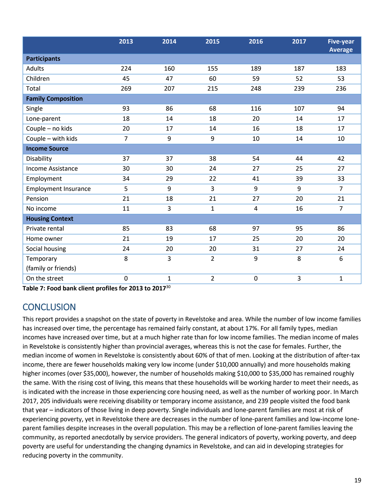|                             | 2013           | 2014         | 2015           | 2016           | 2017 | <b>Five-year</b><br><b>Average</b> |
|-----------------------------|----------------|--------------|----------------|----------------|------|------------------------------------|
| <b>Participants</b>         |                |              |                |                |      |                                    |
| Adults                      | 224            | 160          | 155            | 189            | 187  | 183                                |
| Children                    | 45             | 47           | 60             | 59             | 52   | 53                                 |
| Total                       | 269            | 207          | 215            | 248            | 239  | 236                                |
| <b>Family Composition</b>   |                |              |                |                |      |                                    |
| Single                      | 93             | 86           | 68             | 116            | 107  | 94                                 |
| Lone-parent                 | 18             | 14           | 18             | 20             | 14   | 17                                 |
| Couple - no kids            | 20             | 17           | 14             | 16             | 18   | 17                                 |
| Couple - with kids          | $\overline{7}$ | 9            | 9              | 10             | 14   | 10                                 |
| <b>Income Source</b>        |                |              |                |                |      |                                    |
| Disability                  | 37             | 37           | 38             | 54             | 44   | 42                                 |
| <b>Income Assistance</b>    | 30             | 30           | 24             | 27             | 25   | 27                                 |
| Employment                  | 34             | 29           | 22             | 41             | 39   | 33                                 |
| <b>Employment Insurance</b> | 5              | 9            | 3              | 9              | 9    | $\overline{7}$                     |
| Pension                     | 21             | 18           | 21             | 27             | 20   | 21                                 |
| No income                   | 11             | 3            | $\mathbf{1}$   | $\overline{4}$ | 16   | $\overline{7}$                     |
| <b>Housing Context</b>      |                |              |                |                |      |                                    |
| Private rental              | 85             | 83           | 68             | 97             | 95   | 86                                 |
| Home owner                  | 21             | 19           | 17             | 25             | 20   | 20                                 |
| Social housing              | 24             | 20           | 20             | 31             | 27   | 24                                 |
| Temporary                   | 8              | 3            | $\overline{2}$ | 9              | 8    | 6                                  |
| (family or friends)         |                |              |                |                |      |                                    |
| On the street               | 0              | $\mathbf{1}$ | $\overline{2}$ | $\pmb{0}$      | 3    | 1                                  |

<span id="page-19-1"></span>**Table 7: Food bank client profiles for 2013 to 2017**<sup>30</sup>

# <span id="page-19-0"></span>**CONCLUSION**

This report provides a snapshot on the state of poverty in Revelstoke and area. While the number of low income families has increased over time, the percentage has remained fairly constant, at about 17%. For all family types, median incomes have increased over time, but at a much higher rate than for low income families. The median income of males in Revelstoke is consistently higher than provincial averages, whereas this is not the case for females. Further, the median income of women in Revelstoke is consistently about 60% of that of men. Looking at the distribution of after-tax income, there are fewer households making very low income (under \$10,000 annually) and more households making higher incomes (over \$35,000), however, the number of households making \$10,000 to \$35,000 has remained roughly the same. With the rising cost of living, this means that these households will be working harder to meet their needs, as is indicated with the increase in those experiencing core housing need, as well as the number of working poor. In March 2017, 205 individuals were receiving disability or temporary income assistance, and 239 people visited the food bank that year – indicators of those living in deep poverty. Single individuals and lone-parent families are most at risk of experiencing poverty, yet in Revelstoke there are decreases in the number of lone-parent families and low-income loneparent families despite increases in the overall population. This may be a reflection of lone-parent families leaving the community, as reported anecdotally by service providers. The general indicators of poverty, working poverty, and deep poverty are useful for understanding the changing dynamics in Revelstoke, and can aid in developing strategies for reducing poverty in the community.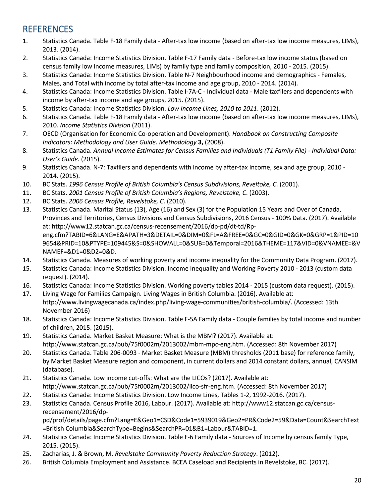# <span id="page-20-0"></span>**REFERENCES**

- 1. Statistics Canada. Table F-18 Family data After-tax low income (based on after-tax low income measures, LIMs), 2013. (2014).
- 2. Statistics Canada: Income Statistics Division. Table F-17 Family data Before-tax low income status (based on census family low income measures, LIMs) by family type and family composition, 2010 - 2015. (2015).
- 3. Statistics Canada: Income Statistics Division. Table N-7 Neighbourhood income and demographics Females, Males, and Total with income by total after-tax income and age group, 2010 - 2014. (2014).
- 4. Statistics Canada: Income Statistics Division. Table I-7A-C Individual data Male taxfilers and dependents with income by after-tax income and age groups, 2015. (2015).
- 5. Statistics Canada: Income Statistics Division. *Low Income Lines, 2010 to 2011*. (2012).
- 6. Statistics Canada. Table F-18 Family data After-tax low income (based on after-tax low income measures, LIMs), 2010. *Income Statistics Division* (2011).
- 7. OECD (Organisation for Economic Co-operation and Development). *Handbook on Constructing Composite Indicators: Methodology and User Guide*. *Methodology* **3,** (2008).
- 8. Statistics Canada. *Annual Income Estimates for Census Families and Individuals (T1 Family File) - Individual Data: User's Guide*. (2015).
- 9. Statistics Canada. N-7: Taxfilers and dependents with income by after-tax income, sex and age group, 2010 2014. (2015).
- 10. BC Stats. *1996 Census Profile of British Columbia's Census Subdivisions, Reveltoke, C*. (2001).
- 11. BC Stats. *2001 Census Profile of British Columbia's Regions, Revelstoke, C*. (2003).
- 12. BC Stats. *2006 Census Profile, Revelstoke, C*. (2010).
- 13. Statistics Canada. Marital Status (13), Age (16) and Sex (3) for the Population 15 Years and Over of Canada, Provinces and Territories, Census Divisions and Census Subdivisions, 2016 Census - 100% Data. (2017). Available at: http://www12.statcan.gc.ca/census-recensement/2016/dp-pd/dt-td/Rpeng.cfm?TABID=6&LANG=E&APATH=3&DETAIL=0&DIM=0&FL=A&FREE=0&GC=0&GID=0&GK=0&GRP=1&PID=10 9654&PRID=10&PTYPE=109445&S=0&SHOWALL=0&SUB=0&Temporal=2016&THEME=117&VID=0&VNAMEE=&V NAMEF=&D1=0&D2=0&D.
- 14. Statistics Canada. Measures of working poverty and income inequality for the Community Data Program. (2017).
- 15. Statistics Canada: Income Statistics Division. Income Inequality and Working Poverty 2010 2013 (custom data request). (2014).
- 16. Statistics Canada: Income Statistics Division. Working poverty tables 2014 2015 (custom data request). (2015).
- 17. Living Wage for Families Campaign. Living Wages in British Columbia. (2016). Available at: http://www.livingwagecanada.ca/index.php/living-wage-communities/british-columbia/. (Accessed: 13th November 2016)
- 18. Statistics Canada: Income Statistics Division. Table F-5A Family data Couple families by total income and number of children, 2015. (2015).
- 19. Statistics Canada. Market Basket Measure: What is the MBM? (2017). Available at: http://www.statcan.gc.ca/pub/75f0002m/2013002/mbm-mpc-eng.htm. (Accessed: 8th November 2017)
- 20. Statistics Canada. Table 206-0093 Market Basket Measure (MBM) thresholds (2011 base) for reference family, by Market Basket Measure region and component, in current dollars and 2014 constant dollars, annual, CANSIM (database).
- 21. Statistics Canada. Low income cut-offs: What are the LICOs? (2017). Available at: http://www.statcan.gc.ca/pub/75f0002m/2013002/lico-sfr-eng.htm. (Accessed: 8th November 2017)
- 22. Statistics Canada: Income Statistics Division. Low Income Lines, Tables 1-2, 1992-2016. (2017).
- 23. Statistics Canada. Census Profile 2016, Labour. (2017). Available at: http://www12.statcan.gc.ca/censusrecensement/2016/dp-

pd/prof/details/page.cfm?Lang=E&Geo1=CSD&Code1=5939019&Geo2=PR&Code2=59&Data=Count&SearchText =British Columbia&SearchType=Begins&SearchPR=01&B1=Labour&TABID=1.

- 24. Statistics Canada: Income Statistics Division. Table F-6 Family data Sources of Income by census family Type, 2015. (2015).
- 25. Zacharias, J. & Brown, M. *Revelstoke Community Poverty Reduction Strategy*. (2012).
- 26. British Columbia Employment and Assistance. BCEA Caseload and Recipients in Revelstoke, BC. (2017).